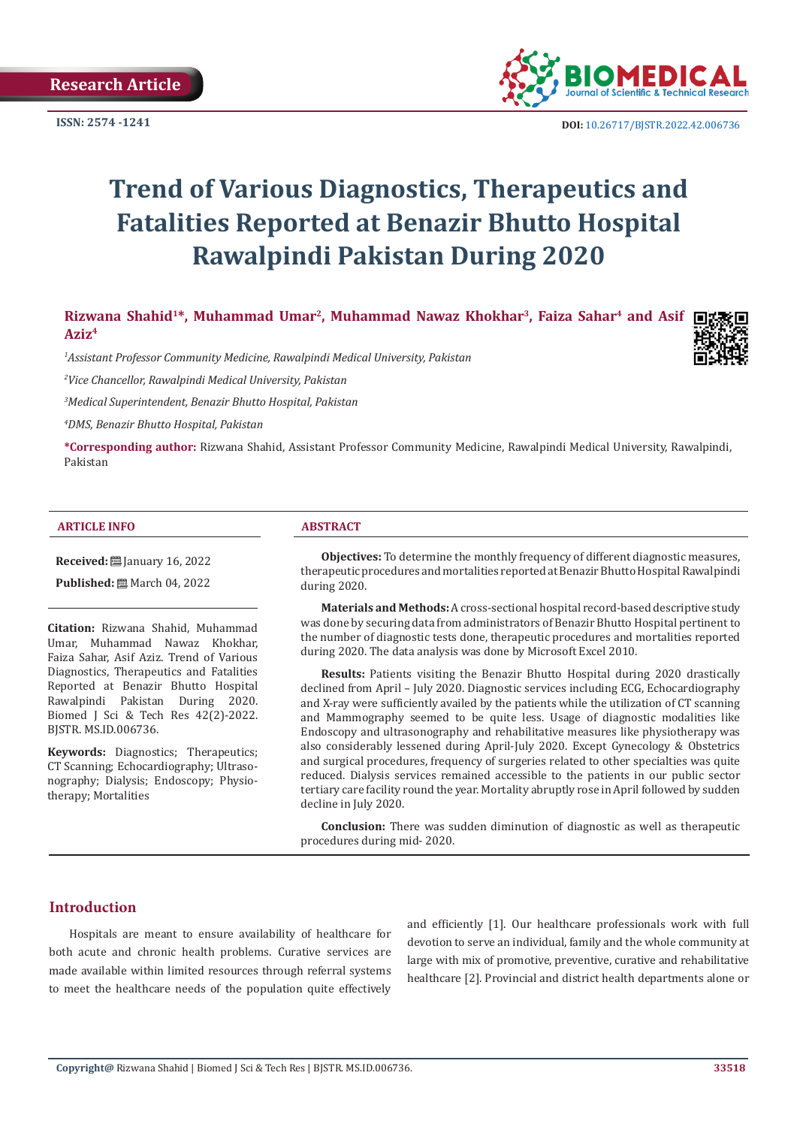

**ISSN:** 2574 -1241 **DOI:** [10.26717/BJSTR.2022.42.006736](https://dx.doi.org/10.26717/BJSTR.2022.42.006736)

# **Trend of Various Diagnostics, Therapeutics and Fatalities Reported at Benazir Bhutto Hospital Rawalpindi Pakistan During 2020**

**Rizwana Shahid1\*, Muhammad Umar2, Muhammad Nawaz Khokhar3, Faiza Sahar4 and Asif Aziz4**

*1 Assistant Professor Community Medicine, Rawalpindi Medical University, Pakistan* 

*2 Vice Chancellor, Rawalpindi Medical University, Pakistan*

*3 Medical Superintendent, Benazir Bhutto Hospital, Pakistan*

*4 DMS, Benazir Bhutto Hospital, Pakistan*

**\*Corresponding author:** Rizwana Shahid, Assistant Professor Community Medicine, Rawalpindi Medical University, Rawalpindi, Pakistan

#### **ARTICLE INFO ABSTRACT**

**Received:** [201] January 16, 2022

**Published:** March 04, 2022

**Citation:** Rizwana Shahid, Muhammad Umar, Muhammad Nawaz Khokhar, Faiza Sahar, Asif Aziz. Trend of Various Diagnostics, Therapeutics and Fatalities Reported at Benazir Bhutto Hospital Rawalpindi Pakistan During 2020. Biomed J Sci & Tech Res 42(2)-2022. BJSTR. MS.ID.006736.

**Keywords:** Diagnostics; Therapeutics; CT Scanning; Echocardiography; Ultrasonography; Dialysis; Endoscopy; Physiotherapy; Mortalities

**Objectives:** To determine the monthly frequency of different diagnostic measures, therapeutic procedures and mortalities reported at Benazir Bhutto Hospital Rawalpindi during 2020.

**Materials and Methods:** A cross-sectional hospital record-based descriptive study was done by securing data from administrators of Benazir Bhutto Hospital pertinent to the number of diagnostic tests done, therapeutic procedures and mortalities reported during 2020. The data analysis was done by Microsoft Excel 2010.

**Results:** Patients visiting the Benazir Bhutto Hospital during 2020 drastically declined from April – July 2020. Diagnostic services including ECG, Echocardiography and X-ray were sufficiently availed by the patients while the utilization of CT scanning and Mammography seemed to be quite less. Usage of diagnostic modalities like Endoscopy and ultrasonography and rehabilitative measures like physiotherapy was also considerably lessened during April-July 2020. Except Gynecology & Obstetrics and surgical procedures, frequency of surgeries related to other specialties was quite reduced. Dialysis services remained accessible to the patients in our public sector tertiary care facility round the year. Mortality abruptly rose in April followed by sudden decline in July 2020.

**Conclusion:** There was sudden diminution of diagnostic as well as therapeutic procedures during mid- 2020.

# **Introduction**

Hospitals are meant to ensure availability of healthcare for both acute and chronic health problems. Curative services are made available within limited resources through referral systems to meet the healthcare needs of the population quite effectively

and efficiently [1]. Our healthcare professionals work with full devotion to serve an individual, family and the whole community at large with mix of promotive, preventive, curative and rehabilitative healthcare [2]. Provincial and district health departments alone or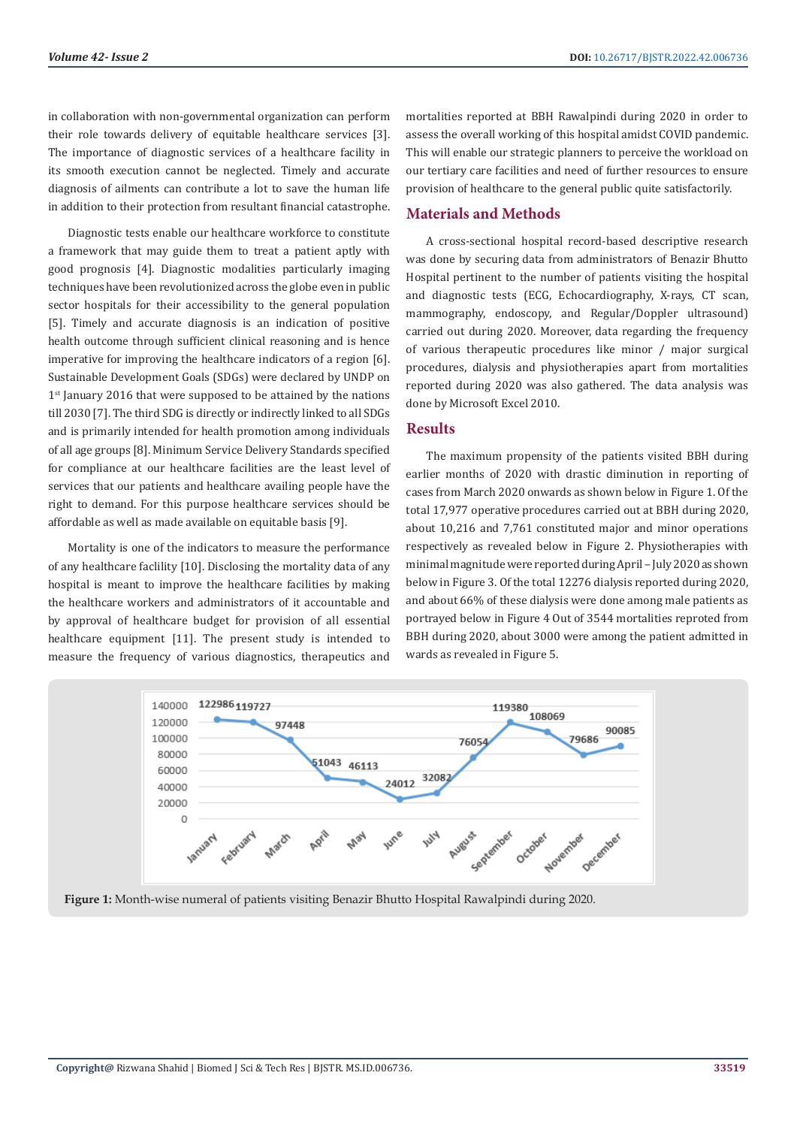in collaboration with non-governmental organization can perform their role towards delivery of equitable healthcare services [3]. The importance of diagnostic services of a healthcare facility in its smooth execution cannot be neglected. Timely and accurate diagnosis of ailments can contribute a lot to save the human life in addition to their protection from resultant financial catastrophe.

Diagnostic tests enable our healthcare workforce to constitute a framework that may guide them to treat a patient aptly with good prognosis [4]. Diagnostic modalities particularly imaging techniques have been revolutionized across the globe even in public sector hospitals for their accessibility to the general population [5]. Timely and accurate diagnosis is an indication of positive health outcome through sufficient clinical reasoning and is hence imperative for improving the healthcare indicators of a region [6]. Sustainable Development Goals (SDGs) were declared by UNDP on 1<sup>st</sup> January 2016 that were supposed to be attained by the nations till 2030 [7]. The third SDG is directly or indirectly linked to all SDGs and is primarily intended for health promotion among individuals of all age groups [8]. Minimum Service Delivery Standards specified for compliance at our healthcare facilities are the least level of services that our patients and healthcare availing people have the right to demand. For this purpose healthcare services should be affordable as well as made available on equitable basis [9].

Mortality is one of the indicators to measure the performance of any healthcare faclility [10]. Disclosing the mortality data of any hospital is meant to improve the healthcare facilities by making the healthcare workers and administrators of it accountable and by approval of healthcare budget for provision of all essential healthcare equipment [11]. The present study is intended to measure the frequency of various diagnostics, therapeutics and

mortalities reported at BBH Rawalpindi during 2020 in order to assess the overall working of this hospital amidst COVID pandemic. This will enable our strategic planners to perceive the workload on our tertiary care facilities and need of further resources to ensure provision of healthcare to the general public quite satisfactorily.

# **Materials and Methods**

A cross-sectional hospital record-based descriptive research was done by securing data from administrators of Benazir Bhutto Hospital pertinent to the number of patients visiting the hospital and diagnostic tests (ECG, Echocardiography, X-rays, CT scan, mammography, endoscopy, and Regular/Doppler ultrasound) carried out during 2020. Moreover, data regarding the frequency of various therapeutic procedures like minor / major surgical procedures, dialysis and physiotherapies apart from mortalities reported during 2020 was also gathered. The data analysis was done by Microsoft Excel 2010.

# **Results**

The maximum propensity of the patients visited BBH during earlier months of 2020 with drastic diminution in reporting of cases from March 2020 onwards as shown below in Figure 1. Of the total 17,977 operative procedures carried out at BBH during 2020, about 10,216 and 7,761 constituted major and minor operations respectively as revealed below in Figure 2. Physiotherapies with minimal magnitude were reported during April – July 2020 as shown below in Figure 3. Of the total 12276 dialysis reported during 2020, and about 66% of these dialysis were done among male patients as portrayed below in Figure 4 Out of 3544 mortalities reproted from BBH during 2020, about 3000 were among the patient admitted in wards as revealed in Figure 5.



**Figure 1:** Month-wise numeral of patients visiting Benazir Bhutto Hospital Rawalpindi during 2020.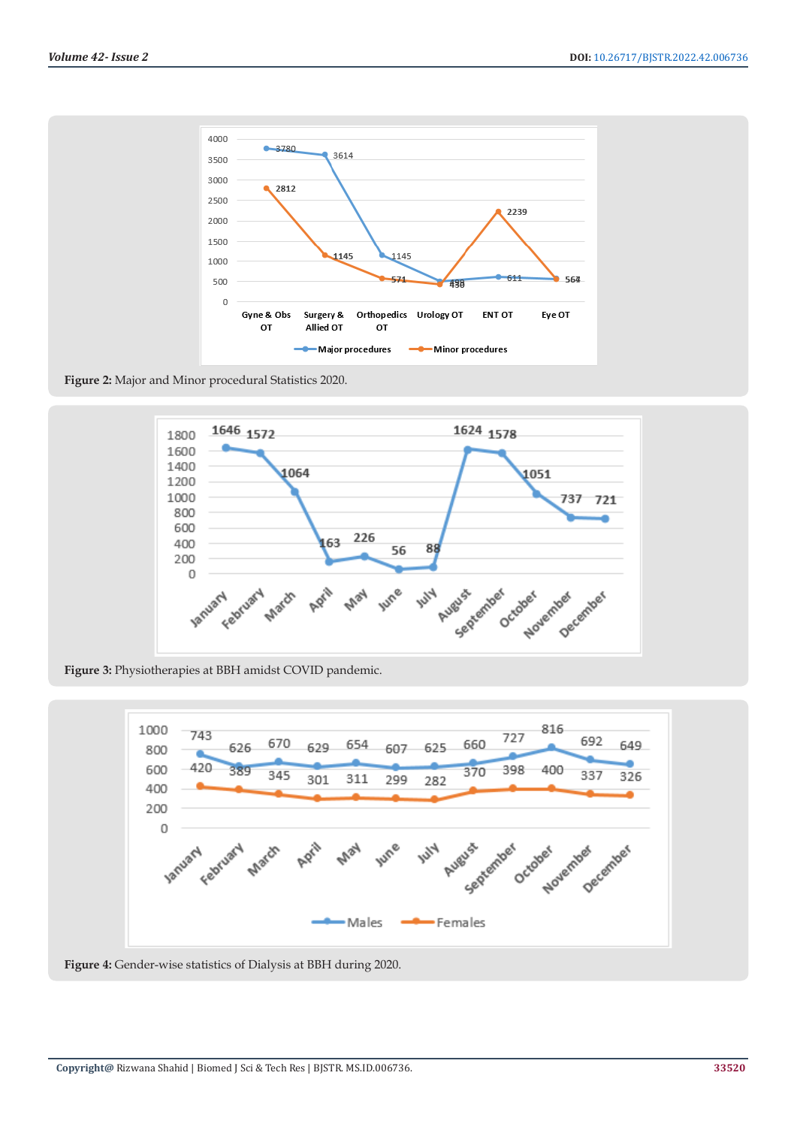

**Figure 2:** Major and Minor procedural Statistics 2020.



**Figure 3:** Physiotherapies at BBH amidst COVID pandemic.



**Figure 4:** Gender-wise statistics of Dialysis at BBH during 2020.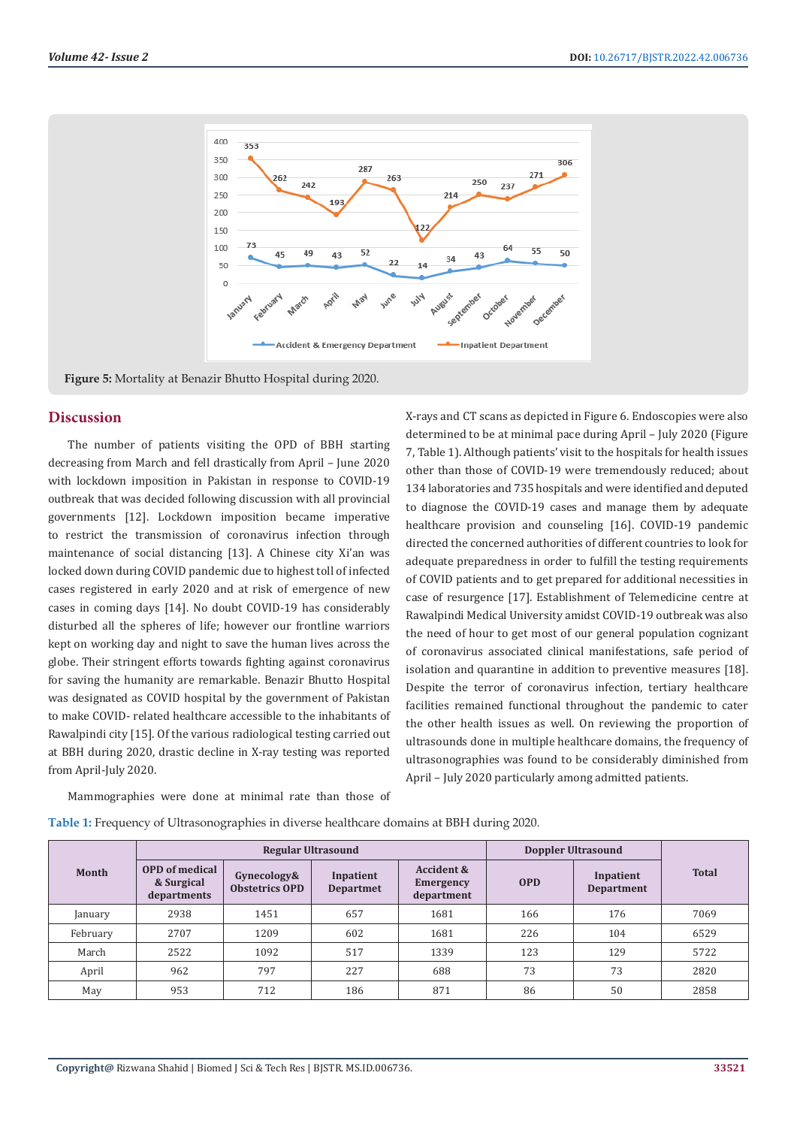

**Figure 5:** Mortality at Benazir Bhutto Hospital during 2020.

### **Discussion**

The number of patients visiting the OPD of BBH starting decreasing from March and fell drastically from April – June 2020 with lockdown imposition in Pakistan in response to COVID-19 outbreak that was decided following discussion with all provincial governments [12]. Lockdown imposition became imperative to restrict the transmission of coronavirus infection through maintenance of social distancing [13]. A Chinese city Xi'an was locked down during COVID pandemic due to highest toll of infected cases registered in early 2020 and at risk of emergence of new cases in coming days [14]. No doubt COVID-19 has considerably disturbed all the spheres of life; however our frontline warriors kept on working day and night to save the human lives across the globe. Their stringent efforts towards fighting against coronavirus for saving the humanity are remarkable. Benazir Bhutto Hospital was designated as COVID hospital by the government of Pakistan to make COVID- related healthcare accessible to the inhabitants of Rawalpindi city [15]. Of the various radiological testing carried out at BBH during 2020, drastic decline in X-ray testing was reported from April-July 2020.

Mammographies were done at minimal rate than those of

X-rays and CT scans as depicted in Figure 6. Endoscopies were also determined to be at minimal pace during April – July 2020 (Figure 7, Table 1). Although patients' visit to the hospitals for health issues other than those of COVID-19 were tremendously reduced; about 134 laboratories and 735 hospitals and were identified and deputed to diagnose the COVID-19 cases and manage them by adequate healthcare provision and counseling [16]. COVID-19 pandemic directed the concerned authorities of different countries to look for adequate preparedness in order to fulfill the testing requirements of COVID patients and to get prepared for additional necessities in case of resurgence [17]. Establishment of Telemedicine centre at Rawalpindi Medical University amidst COVID-19 outbreak was also the need of hour to get most of our general population cognizant of coronavirus associated clinical manifestations, safe period of isolation and quarantine in addition to preventive measures [18]. Despite the terror of coronavirus infection, tertiary healthcare facilities remained functional throughout the pandemic to cater the other health issues as well. On reviewing the proportion of ultrasounds done in multiple healthcare domains, the frequency of ultrasonographies was found to be considerably diminished from April – July 2020 particularly among admitted patients.

| Month    |                                                    |                                      | <b>Regular Ultrasound</b>     | <b>Doppler Ultrasound</b>                        |            |                         |              |
|----------|----------------------------------------------------|--------------------------------------|-------------------------------|--------------------------------------------------|------------|-------------------------|--------------|
|          | <b>OPD</b> of medical<br>& Surgical<br>departments | Gynecology&<br><b>Obstetrics OPD</b> | Inpatient<br><b>Departmet</b> | <b>Accident &amp;</b><br>Emergency<br>department | <b>OPD</b> | Inpatient<br>Department | <b>Total</b> |
| January  | 2938                                               | 1451                                 | 657                           | 1681                                             | 166        | 176                     | 7069         |
| February | 2707                                               | 1209                                 | 602                           | 1681                                             | 226        | 104                     | 6529         |
| March    | 2522                                               | 1092                                 | 517                           | 1339                                             | 123        | 129                     | 5722         |
| April    | 962                                                | 797                                  | 227                           | 688                                              | 73         | 73                      | 2820         |
| May      | 953                                                | 712                                  | 186                           | 871                                              | 86         | 50                      | 2858         |

**Table 1:** Frequency of Ultrasonographies in diverse healthcare domains at BBH during 2020.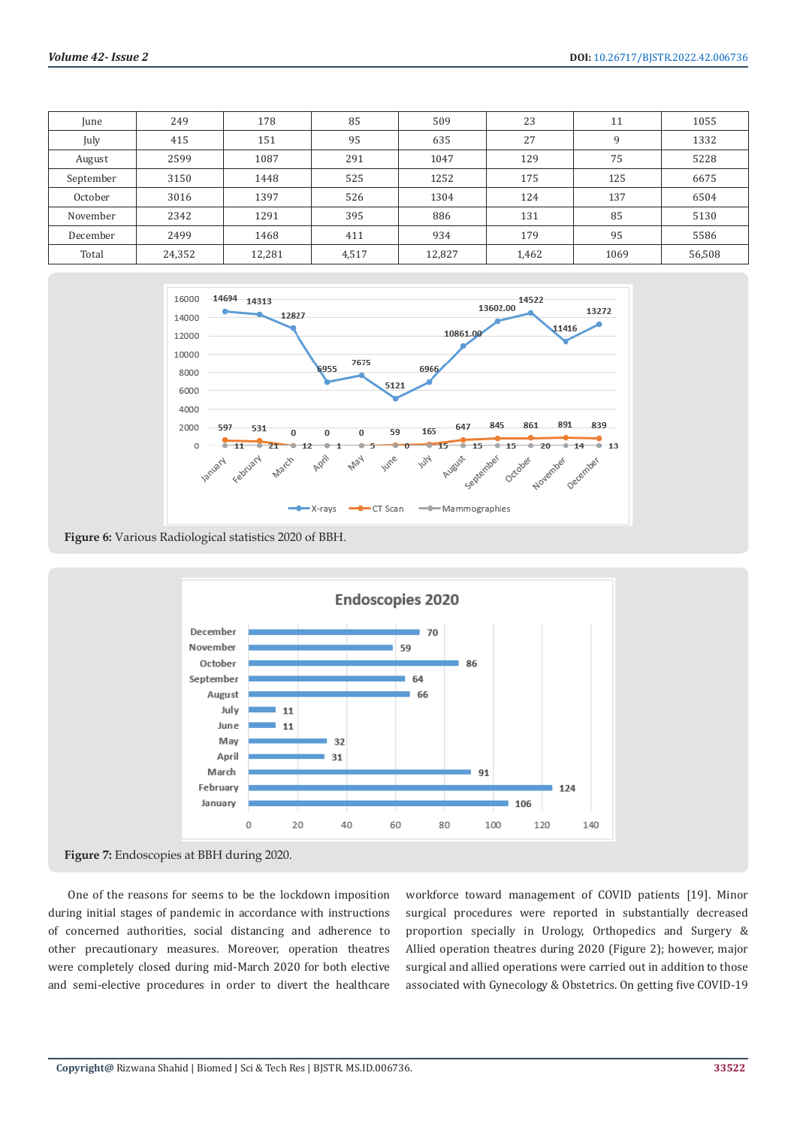| June      | 249    | 178    | 85    | 509    | 23    | 11   | 1055   |
|-----------|--------|--------|-------|--------|-------|------|--------|
| July      | 415    | 151    | 95    | 635    | 27    | 9    | 1332   |
| August    | 2599   | 1087   | 291   | 1047   | 129   | 75   | 5228   |
| September | 3150   | 1448   | 525   | 1252   | 175   | 125  | 6675   |
| October   | 3016   | 1397   | 526   | 1304   | 124   | 137  | 6504   |
| November  | 2342   | 1291   | 395   | 886    | 131   | 85   | 5130   |
| December  | 2499   | 1468   | 411   | 934    | 179   | 95   | 5586   |
| Total     | 24,352 | 12,281 | 4,517 | 12,827 | 1,462 | 1069 | 56,508 |



**Figure 6:** Various Radiological statistics 2020 of BBH.



**Figure 7:** Endoscopies at BBH during 2020.

One of the reasons for seems to be the lockdown imposition during initial stages of pandemic in accordance with instructions of concerned authorities, social distancing and adherence to other precautionary measures. Moreover, operation theatres were completely closed during mid-March 2020 for both elective and semi-elective procedures in order to divert the healthcare

workforce toward management of COVID patients [19]. Minor surgical procedures were reported in substantially decreased proportion specially in Urology, Orthopedics and Surgery & Allied operation theatres during 2020 (Figure 2); however, major surgical and allied operations were carried out in addition to those associated with Gynecology & Obstetrics. On getting five COVID-19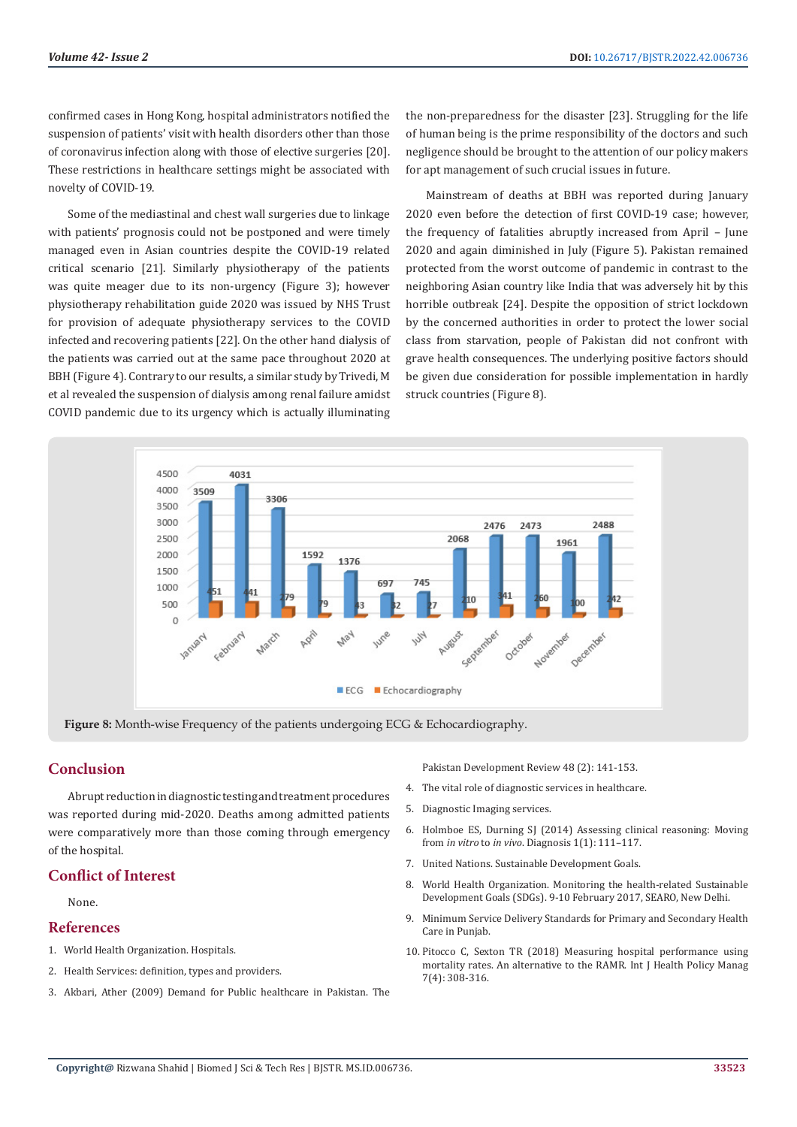confirmed cases in Hong Kong, hospital administrators notified the suspension of patients' visit with health disorders other than those of coronavirus infection along with those of elective surgeries [20]. These restrictions in healthcare settings might be associated with novelty of COVID-19.

Some of the mediastinal and chest wall surgeries due to linkage with patients' prognosis could not be postponed and were timely managed even in Asian countries despite the COVID-19 related critical scenario [21]. Similarly physiotherapy of the patients was quite meager due to its non-urgency (Figure 3); however physiotherapy rehabilitation guide 2020 was issued by NHS Trust for provision of adequate physiotherapy services to the COVID infected and recovering patients [22]. On the other hand dialysis of the patients was carried out at the same pace throughout 2020 at BBH (Figure 4). Contrary to our results, a similar study by Trivedi, M et al revealed the suspension of dialysis among renal failure amidst COVID pandemic due to its urgency which is actually illuminating the non-preparedness for the disaster [23]. Struggling for the life of human being is the prime responsibility of the doctors and such negligence should be brought to the attention of our policy makers for apt management of such crucial issues in future.

Mainstream of deaths at BBH was reported during January 2020 even before the detection of first COVID-19 case; however, the frequency of fatalities abruptly increased from April – June 2020 and again diminished in July (Figure 5). Pakistan remained protected from the worst outcome of pandemic in contrast to the neighboring Asian country like India that was adversely hit by this horrible outbreak [24]. Despite the opposition of strict lockdown by the concerned authorities in order to protect the lower social class from starvation, people of Pakistan did not confront with grave health consequences. The underlying positive factors should be given due consideration for possible implementation in hardly struck countries (Figure 8).



**Figure 8:** Month-wise Frequency of the patients undergoing ECG & Echocardiography.

# **Conclusion**

Abrupt reduction in diagnostic testing and treatment procedures was reported during mid-2020. Deaths among admitted patients were comparatively more than those coming through emergency of the hospital.

# **Conflict of Interest**

None.

#### **References**

- 1. [World Health Organization. Hospitals.](https://www.who.int/health-topics/hospitals)
- 2. [Health Services: definition, types and providers.](https://study.com/academy/lesson/health-services-definition-types-providers.html)
- 3. [Akbari, Ather \(2009\) Demand for Public healthcare in Pakistan. The](https://www.jstor.org/stable/41260917)

[Pakistan Development Review 48 \(2\): 141-153.](https://www.jstor.org/stable/41260917)

- 4. The vital role of diagnostic services in healthcare.
- 5. [Diagnostic Imaging services.](https://aqmdi.com/the-vital-role-of-diagnostic-services-in-healthcare/)
- 6. [Holmboe ES, Durning SJ \(2014\) Assessing clinical reasoning: Moving](https://pubmed.ncbi.nlm.nih.gov/29539977/) from *in vitro* to *in vivo*[. Diagnosis 1\(1\): 111–117.](https://pubmed.ncbi.nlm.nih.gov/29539977/)
- 7. United Nations. Sustainable Development Goals.
- 8. World Health Organization. Monitoring the health-related Sustainable Development Goals (SDGs). 9-10 February 2017, SEARO, New Delhi.
- 9. [Minimum Service Delivery Standards for Primary and Secondary Health](https://www.phc.org.pk/downloads/MSDS%20Primary%20and%20Secondary%20Healthcare-PDSSP-2008.pdf) [Care in Punjab.](https://www.phc.org.pk/downloads/MSDS%20Primary%20and%20Secondary%20Healthcare-PDSSP-2008.pdf)
- 10. [Pitocco C, Sexton TR \(2018\) Measuring hospital performance using](https://www.ncbi.nlm.nih.gov/labs/pmc/articles/PMC5949221/) [mortality rates. An alternative to the RAMR. Int J Health Policy Manag](https://www.ncbi.nlm.nih.gov/labs/pmc/articles/PMC5949221/) [7\(4\): 308-316.](https://www.ncbi.nlm.nih.gov/labs/pmc/articles/PMC5949221/)